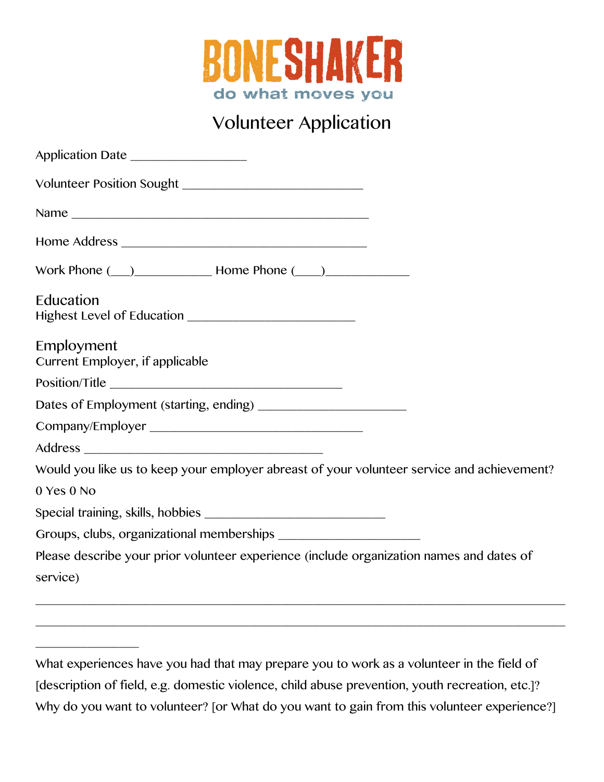

## Volunteer Application

| Application Date                                                                                     |
|------------------------------------------------------------------------------------------------------|
|                                                                                                      |
|                                                                                                      |
|                                                                                                      |
| Work Phone $(\_)$ Home Phone $(\_)$                                                                  |
| Education                                                                                            |
| Employment<br>Current Employer, if applicable                                                        |
|                                                                                                      |
|                                                                                                      |
|                                                                                                      |
|                                                                                                      |
| Would you like us to keep your employer abreast of your volunteer service and achievement?           |
| 0 Yes 0 No                                                                                           |
|                                                                                                      |
|                                                                                                      |
| Please describe your prior volunteer experience (include organization names and dates of<br>service) |
|                                                                                                      |

\_\_\_\_\_\_\_\_\_\_\_\_\_\_\_\_\_\_\_\_\_\_\_\_\_\_\_\_\_\_\_\_\_\_\_\_\_\_\_\_\_\_\_\_\_\_\_\_\_\_\_\_\_\_\_\_\_\_\_\_\_\_\_\_\_\_\_\_\_\_\_\_\_\_\_\_\_\_\_\_\_\_

\_\_\_\_\_\_\_\_\_\_\_\_\_\_\_\_

What experiences have you had that may prepare you to work as a volunteer in the field of [description of field, e.g. domestic violence, child abuse prevention, youth recreation, etc.]? Why do you want to volunteer? [or What do you want to gain from this volunteer experience?]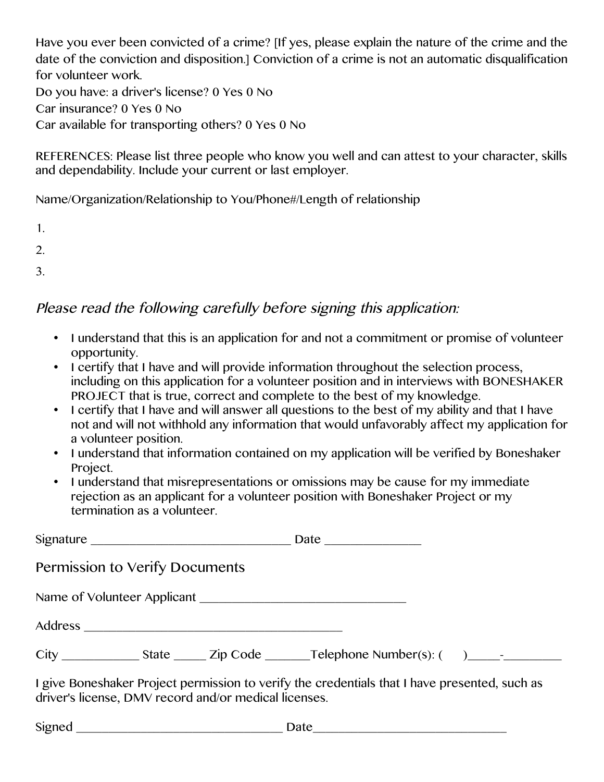Have you ever been convicted of a crime? [If yes, please explain the nature of the crime and the date of the conviction and disposition.] Conviction of a crime is not an automatic disqualification for volunteer work.

Do you have: a driver's license? 0 Yes 0 No Car insurance? 0 Yes 0 No Car available for transporting others? 0 Yes 0 No

REFERENCES: Please list three people who know you well and can attest to your character, skills and dependability. Include your current or last employer.

Name/Organization/Relationship to You/Phone#/Length of relationship

1.

2.

3.

## Please read the following carefully before signing this application:

- I understand that this is an application for and not a commitment or promise of volunteer opportunity.
- I certify that I have and will provide information throughout the selection process, including on this application for a volunteer position and in interviews with BONESHAKER PROJECT that is true, correct and complete to the best of my knowledge.
- I certify that I have and will answer all questions to the best of my ability and that I have not and will not withhold any information that would unfavorably affect my application for a volunteer position.
- I understand that information contained on my application will be verified by Boneshaker Project.
- I understand that misrepresentations or omissions may be cause for my immediate rejection as an applicant for a volunteer position with Boneshaker Project or my termination as a volunteer.

| Permission to Verify Documents                                                                                                                         |  |  |
|--------------------------------------------------------------------------------------------------------------------------------------------------------|--|--|
|                                                                                                                                                        |  |  |
|                                                                                                                                                        |  |  |
|                                                                                                                                                        |  |  |
| I give Boneshaker Project permission to verify the credentials that I have presented, such as<br>driver's license, DMV record and/or medical licenses. |  |  |

Signed Date